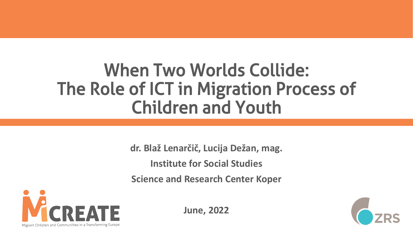### When Two Worlds Collide: The Role of ICT in Migration Process of Children and Youth

**dr. Blaž Lenarčič, Lucija Dežan, mag. Institute for Social Studies Science and Research Center Koper**



**June, 2022**

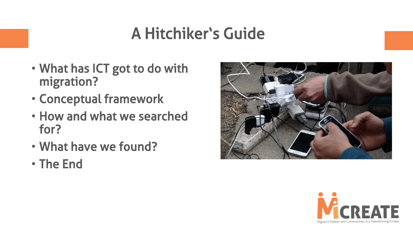### A Hitchiker's Guide

- What has ICT got to do with migration?
- Conceptual framework
- How and what we searched for?
- What have we found?
- The End



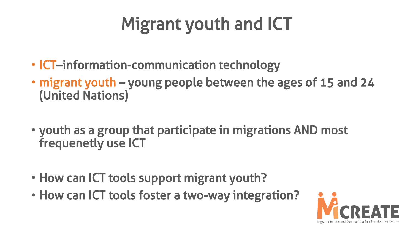## Migrant youth and ICT

- ICT–information-communication technology
- migrant youth young people between the ages of 15 and 24 (United Nations)
- youth as a group that participate in migrations AND most frequenetly use ICT
- How can ICT tools support migrant youth?
- How can ICT tools foster a two-way integration?

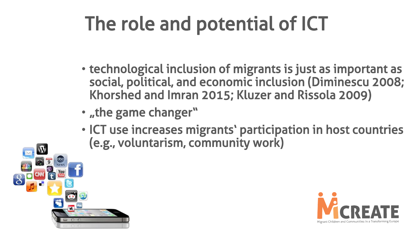## The role and potential of ICT

- technological inclusion of migrants is just as important as social, political, and economic inclusion (Diminescu 2008; Khorshed and Imran 2015; Kluzer and Rissola 2009)
- "the game changer"
- ICT use increases migrants' participation in host countries (e.g., voluntarism, community work)



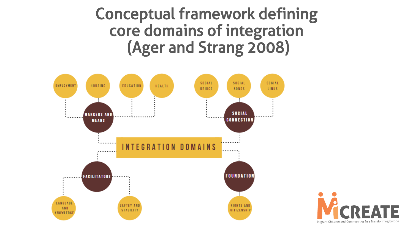### Conceptual framework defining core domains of integration (Ager and Strang 2008)



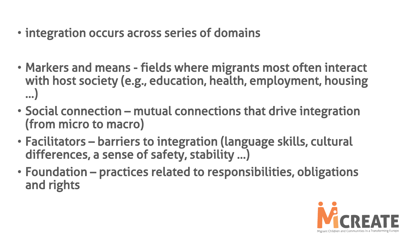- integration occurs across series of domains
- Markers and means fields where migrants most often interact with host society (e.g., education, health, employment, housing …)
- Social connection mutual connections that drive integration (from micro to macro)
- Facilitators barriers to integration (language skills, cultural differences, a sense of safety, stability …)
- Foundation practices related to responsibilities, obligations and rights

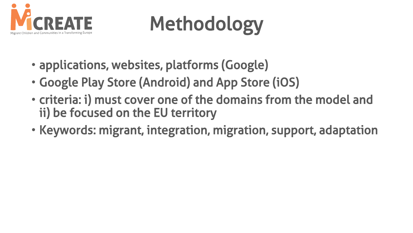

# Methodology

- applications, websites, platforms (Google)
- Google Play Store (Android) and App Store (iOS)
- criteria: i) must cover one of the domains from the model and ii) be focused on the EU territory
- Keywords: migrant, integration, migration, support, adaptation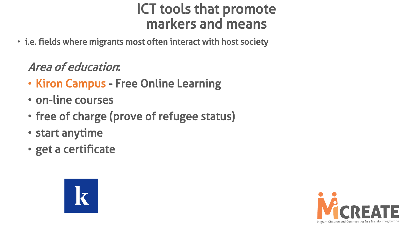• i.e. fields where migrants most often interact with host society

#### Area of education:

- Kiron Campus Free Online Learning
- on-line courses
- free of charge (prove of refugee status)
- start anytime
- get a certificate



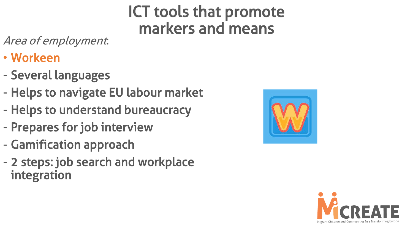Area of employment:

- Workeen
- Several languages
- Helps to navigate EU labour market
- Helps to understand bureaucracy
- Prepares for job interview
- Gamification approach
- 2 steps: job search and workplace integration



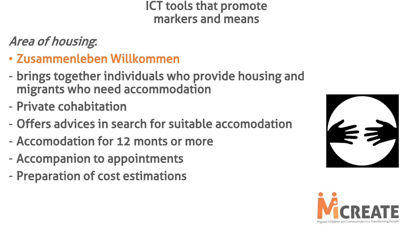#### Area of housing:

- Zusammenleben Willkommen
- brings together individuals who provide housing and migrants who need accommodation
- Private cohabitation
- Offers advices in search for suitable accomodation
- Accomodation for 12 monts or more
- Accompanion to appointments
- Preparation of cost estimations



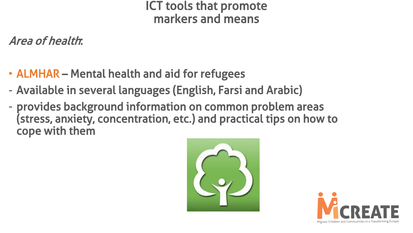Area of health:

- ALMHAR Mental health and aid for refugees
- Available in several languages (English, Farsi and Arabic)
- provides background information on common problem areas (stress, anxiety, concentration, etc.) and practical tips on how to cope with them



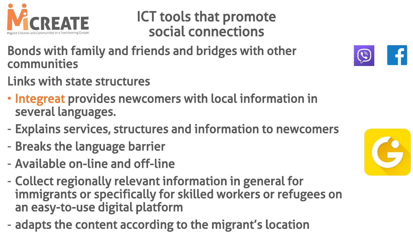

ICT tools that promote social connections

- Bonds with family and friends and bridges with other communities
- Links with state structures
- Integreat provides newcomers with local information in several languages.
- Explains services, structures and information to newcomers
- Breaks the language barrier
- Available on-line and off-line
- Collect regionally relevant information in general for immigrants or specifically for skilled workers or refugees on an easy-to-use digital platform
- adapts the content according to the migrant's location



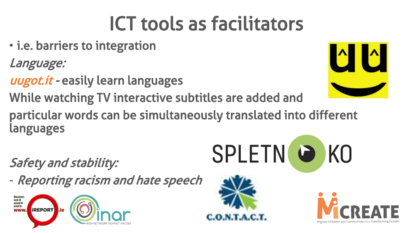# ICT tools as facilitators

• i.e. barriers to integration

Language:

- uugot.it easily learn languages
- While watching TV interactive subtitles are added and

particular words can be simultaneously translated into different languages

Safety and stability:

- Reporting racism and hate speech







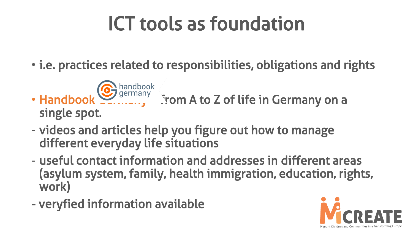## ICT tools as foundation

- i.e. practices related to responsibilities, obligations and rights
- Handbook Collect Germany<br>• Handbook Collect From A to Z of life in Germany on a single spot.
- videos and articles help you figure out how to manage different everyday life situations
- useful contact information and addresses in different areas (asylum system, family, health immigration, education, rights, work)
- veryfied information available

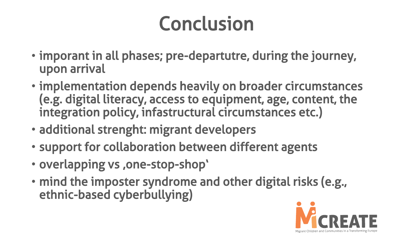## Conclusion

- imporant in all phases; pre-departutre, during the journey, upon arrival
- implementation depends heavily on broader circumstances (e.g. digital literacy, access to equipment, age, content, the integration policy, infastructural circumstances etc.)
- additional strenght: migrant developers
- support for collaboration between different agents
- overlapping vs , one-stop-shop'
- mind the imposter syndrome and other digital risks (e.g., ethnic-based cyberbullying)

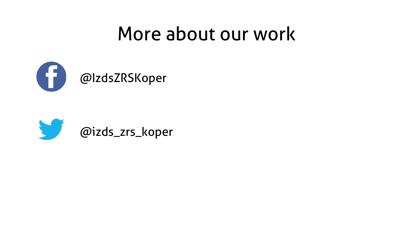## More about our work